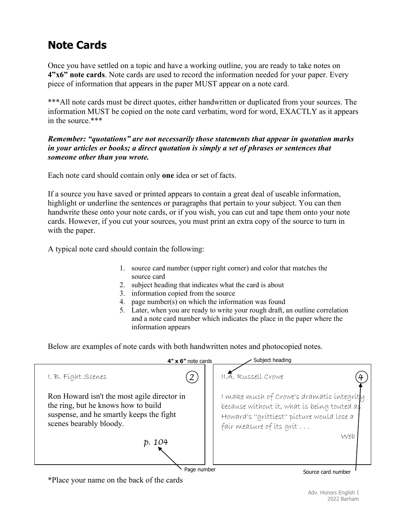# **Note Cards**

Once you have settled on a topic and have a working outline, you are ready to take notes on **4"x6" note cards**. Note cards are used to record the information needed for your paper. Every piece of information that appears in the paper MUST appear on a note card.

\*\*\*All note cards must be direct quotes, either handwritten or duplicated from your sources. The information MUST be copied on the note card verbatim, word for word, EXACTLY as it appears in the source.\*\*\*

### *Remember: "quotations" are not necessarily those statements that appear in quotation marks in your articles or books; a direct quotation is simply a set of phrases or sentences that someone other than you wrote.*

Each note card should contain only **one** idea or set of facts.

If a source you have saved or printed appears to contain a great deal of useable information, highlight or underline the sentences or paragraphs that pertain to your subject. You can then handwrite these onto your note cards, or if you wish, you can cut and tape them onto your note cards. However, if you cut your sources, you must print an extra copy of the source to turn in with the paper.

A typical note card should contain the following:

- 1. source card number (upper right corner) and color that matches the source card
- 2. subject heading that indicates what the card is about
- 3. information copied from the source
- 4. page number(s) on which the information was found
- 5. Later, when you are ready to write your rough draft, an outline correlation and a note card number which indicates the place in the paper where the information appears

Below are examples of note cards with both handwritten notes and photocopied notes.

|                                                                                                                                                           | $4'' \times 6''$ note cards | Subject heading                                                                                                                                                                  |
|-----------------------------------------------------------------------------------------------------------------------------------------------------------|-----------------------------|----------------------------------------------------------------------------------------------------------------------------------------------------------------------------------|
| I. B. Fight Scenes                                                                                                                                        |                             | II.A. Russell Crowe                                                                                                                                                              |
| Ron Howard isn't the most agile director in<br>the ring, but he knows how to build<br>suspense, and he smartly keeps the fight<br>scenes bearably bloody. |                             | I make much of Crowe's dramatic integrit <mark></mark> y<br>because without it, what is being touted as<br>Howard's "grittiest" picture would lose a<br>fair measure of its grit |
| p. 104                                                                                                                                                    |                             | Web                                                                                                                                                                              |
|                                                                                                                                                           | Page number                 | Source card number                                                                                                                                                               |

\*Place your name on the back of the cards